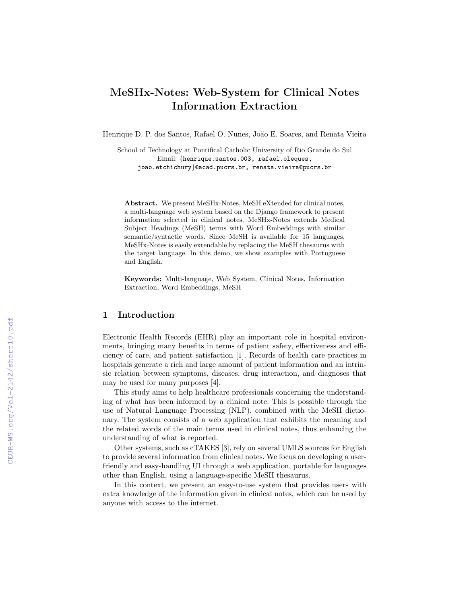# MeSHx-Notes: Web-System for Clinical Notes Information Extraction

Henrique D. P. dos Santos, Rafael O. Nunes, João E. Soares, and Renata Vieira

School of Technology at Pontifical Catholic University of Rio Grande do Sul Email: {henrique.santos.003, rafael.oleques, joao.etchichury}@acad.pucrs.br, renata.vieira@pucrs.br

Abstract. We present MeSHx-Notes, MeSH eXtended for clinical notes, a multi-language web system based on the Django framework to present information selected in clinical notes. MeSHx-Notes extends Medical Subject Headings (MeSH) terms with Word Embeddings with similar semantic/syntactic words. Since MeSH is available for 15 languages, MeSHx-Notes is easily extendable by replacing the MeSH thesaurus with the target language. In this demo, we show examples with Portuguese and English.

Keywords: Multi-language, Web System, Clinical Notes, Information Extraction, Word Embeddings, MeSH

#### 1 Introduction

Electronic Health Records (EHR) play an important role in hospital environments, bringing many benefits in terms of patient safety, effectiveness and efficiency of care, and patient satisfaction [1]. Records of health care practices in hospitals generate a rich and large amount of patient information and an intrinsic relation between symptoms, diseases, drug interaction, and diagnoses that may be used for many purposes [4].

This study aims to help healthcare professionals concerning the understanding of what has been informed by a clinical note. This is possible through the use of Natural Language Processing (NLP), combined with the MeSH dictionary. The system consists of a web application that exhibits the meaning and the related words of the main terms used in clinical notes, thus enhancing the understanding of what is reported.

Other systems, such as cTAKES [3], rely on several UMLS sources for English to provide several information from clinical notes. We focus on developing a userfriendly and easy-handling UI through a web application, portable for languages other than English, using a language-specific MeSH thesaurus.

In this context, we present an easy-to-use system that provides users with extra knowledge of the information given in clinical notes, which can be used by anyone with access to the internet.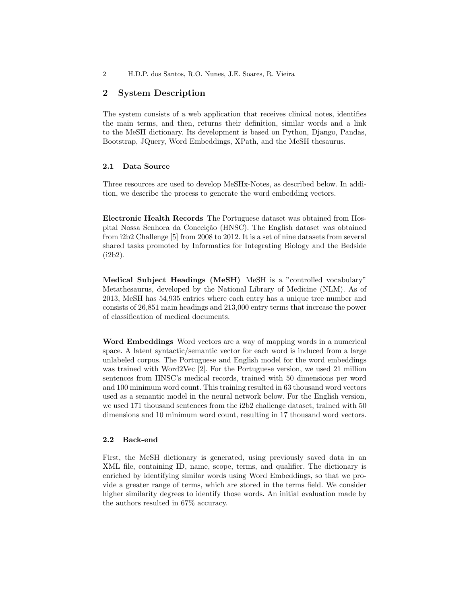#### 2 System Description

The system consists of a web application that receives clinical notes, identifies the main terms, and then, returns their definition, similar words and a link to the MeSH dictionary. Its development is based on Python, Django, Pandas, Bootstrap, JQuery, Word Embeddings, XPath, and the MeSH thesaurus.

#### 2.1 Data Source

Three resources are used to develop MeSHx-Notes, as described below. In addition, we describe the process to generate the word embedding vectors.

Electronic Health Records The Portuguese dataset was obtained from Hospital Nossa Senhora da Conceição (HNSC). The English dataset was obtained from i2b2 Challenge [5] from 2008 to 2012. It is a set of nine datasets from several shared tasks promoted by Informatics for Integrating Biology and the Bedside (i2b2).

Medical Subject Headings (MeSH) MeSH is a "controlled vocabulary" Metathesaurus, developed by the National Library of Medicine (NLM). As of 2013, MeSH has 54,935 entries where each entry has a unique tree number and consists of 26,851 main headings and 213,000 entry terms that increase the power of classification of medical documents.

Word Embeddings Word vectors are a way of mapping words in a numerical space. A latent syntactic/semantic vector for each word is induced from a large unlabeled corpus. The Portuguese and English model for the word embeddings was trained with Word2Vec [2]. For the Portuguese version, we used 21 million sentences from HNSC's medical records, trained with 50 dimensions per word and 100 minimum word count. This training resulted in 63 thousand word vectors used as a semantic model in the neural network below. For the English version, we used 171 thousand sentences from the i2b2 challenge dataset, trained with 50 dimensions and 10 minimum word count, resulting in 17 thousand word vectors.

#### 2.2 Back-end

First, the MeSH dictionary is generated, using previously saved data in an XML file, containing ID, name, scope, terms, and qualifier. The dictionary is enriched by identifying similar words using Word Embeddings, so that we provide a greater range of terms, which are stored in the terms field. We consider higher similarity degrees to identify those words. An initial evaluation made by the authors resulted in 67% accuracy.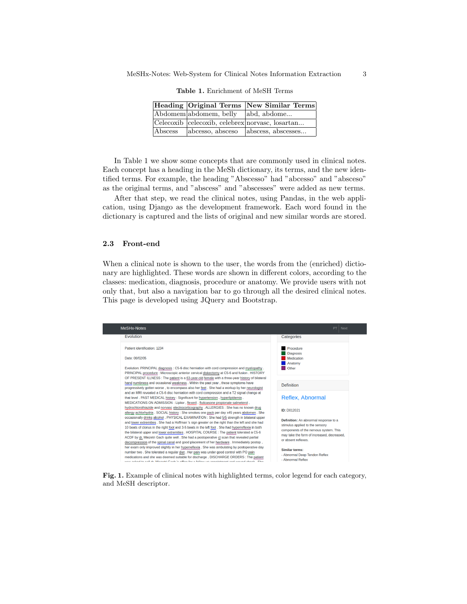|         |                        | Heading Original Terms New Similar Terms        |
|---------|------------------------|-------------------------------------------------|
|         | Abdomem abdomem, belly | abd, abdome                                     |
|         |                        | Celecoxib celecoxib, celebrex norvasc, losartan |
| Abscess | abcesso, absceso       | abscess, abscesses                              |

Table 1. Enrichment of MeSH Terms

In Table 1 we show some concepts that are commonly used in clinical notes. Each concept has a heading in the MeSh dictionary, its terms, and the new identified terms. For example, the heading "Abscesso" had "abcesso" and "absceso" as the original terms, and "abscess" and "abscesses" were added as new terms.

After that step, we read the clinical notes, using Pandas, in the web application, using Django as the development framework. Each word found in the dictionary is captured and the lists of original and new similar words are stored.

#### 2.3 Front-end

When a clinical note is shown to the user, the words from the (enriched) dictionary are highlighted. These words are shown in different colors, according to the classes: medication, diagnosis, procedure or anatomy. We provide users with not only that, but also a navigation bar to go through all the desired clinical notes. This page is developed using JQuery and Bootstrap.



Fig. 1. Example of clinical notes with highlighted terms, color legend for each category, and MeSH descriptor.